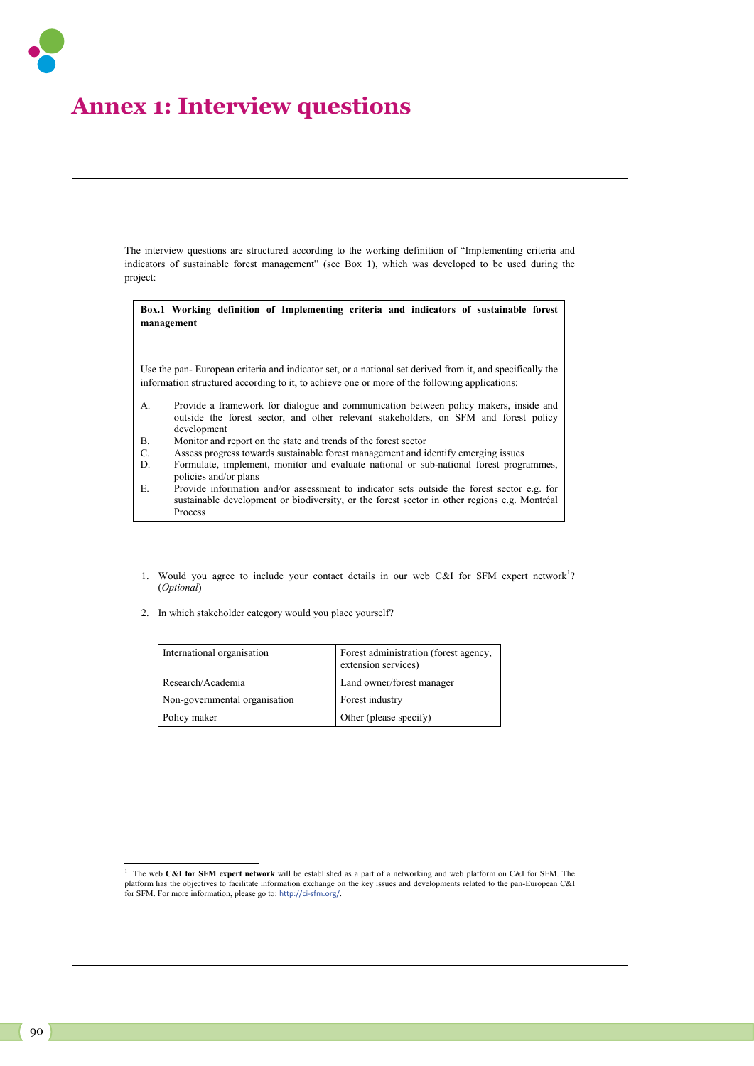## **Annex 1: Interview questions**

The interview questions are structured according to the working definition of "Implementing criteria and indicators of sustainable forest management" (see Box 1), which was developed to be used during the project: 1. Would you agree to include your contact details in our web C&I for SFM expert network<sup>1</sup>? (*Optional*) **Box.1 Working definition of Implementing criteria and indicators of sustainable forest management**  Use the pan- European criteria and indicator set, or a national set derived from it, and specifically the information structured according to it, to achieve one or more of the following applications: A. Provide a framework for dialogue and communication between policy makers, inside and outside the forest sector, and other relevant stakeholders, on SFM and forest policy development B. Monitor and report on the state and trends of the forest sector C. Assess progress towards sustainable forest management and identify emerging issues Formulate, implement, monitor and evaluate national or sub-national forest programmes, policies and/or plans E. Provide information and/or assessment to indicator sets outside the forest sector e.g. for sustainable development or biodiversity, or the forest sector in other regions e.g. Montréal Process

2. In which stakeholder category would you place yourself?

| International organisation    | Forest administration (forest agency,<br>extension services) |
|-------------------------------|--------------------------------------------------------------|
| Research/Academia             | Land owner/forest manager                                    |
| Non-governmental organisation | Forest industry                                              |
| Policy maker                  | Other (please specify)                                       |

֦

<sup>1</sup> The web **C&I for SFM expert network** will be established as a part of a networking and web platform on C&I for SFM. The platform has the objectives to facilitate information exchange on the key issues and developments related to the pan-European C&I for SFM. For more information, please go to: http://ci-sfm.org/.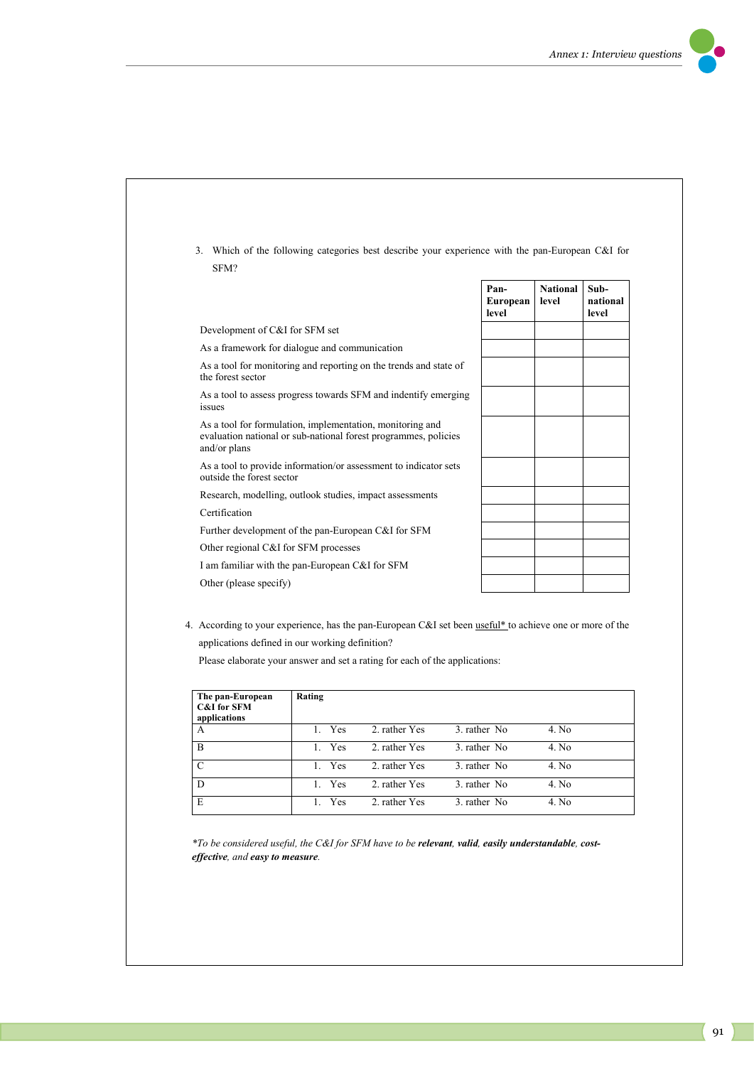



| The pan-European<br><b>C&amp;I</b> for SFM<br>applications | <b>Rating</b>       |               |              |       |
|------------------------------------------------------------|---------------------|---------------|--------------|-------|
| A                                                          | 1. Yes              | 2. rather Yes | 3. rather No | 4. No |
| B                                                          | 1. Yes              | 2. rather Yes | 3. rather No | 4. No |
| C                                                          | 1. Yes              | 2. rather Yes | 3. rather No | 4. No |
| D                                                          | Yes<br>$\mathbf{1}$ | 2. rather Yes | 3. rather No | 4. No |
| E                                                          | 1. Yes              | 2. rather Yes | 3. rather No | 4. No |

*\*To be considered useful, the C&I for SFM have to be relevant, valid, easily understandable, costeffective, and easy to measure.*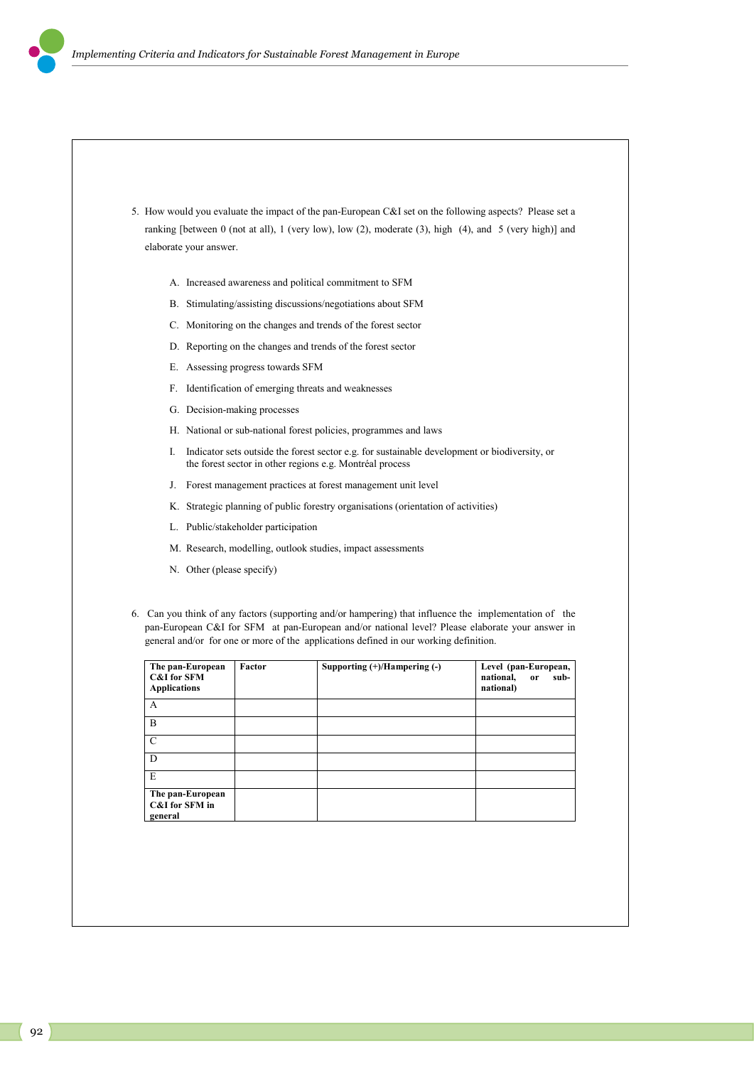

- A. Increased awareness and political commitment to SFM
- B. Stimulating/assisting discussions/negotiations about SFM
- C. Monitoring on the changes and trends of the forest sector
- D. Reporting on the changes and trends of the forest sector
- E. Assessing progress towards SFM
- F. Identification of emerging threats and weaknesses
- G. Decision-making processes
- H. National or sub-national forest policies, programmes and laws
- I. Indicator sets outside the forest sector e.g. for sustainable development or biodiversity, or the forest sector in other regions e.g. Montréal process
- J. Forest management practices at forest management unit level
- K. Strategic planning of public forestry organisations (orientation of activities)
- L. Public/stakeholder participation
- M. Research, modelling, outlook studies, impact assessments
- N. Other (please specify)
- 6. Can you think of any factors (supporting and/or hampering) that influence the implementation of the pan-European C&I for SFM at pan-European and/or national level? Please elaborate your answer in general and/or for one or more of the applications defined in our working definition.

| The pan-European<br><b>C&amp;I</b> for SFM<br><b>Applications</b> | Factor | Supporting $(+)/$ Hampering $(-)$ | Level (pan-European,<br>national,<br>sub-<br>or<br>national) |
|-------------------------------------------------------------------|--------|-----------------------------------|--------------------------------------------------------------|
| A                                                                 |        |                                   |                                                              |
| B                                                                 |        |                                   |                                                              |
| $\mathcal{C}$                                                     |        |                                   |                                                              |
| D                                                                 |        |                                   |                                                              |
| E                                                                 |        |                                   |                                                              |
| The pan-European<br>C&I for SFM in<br>general                     |        |                                   |                                                              |